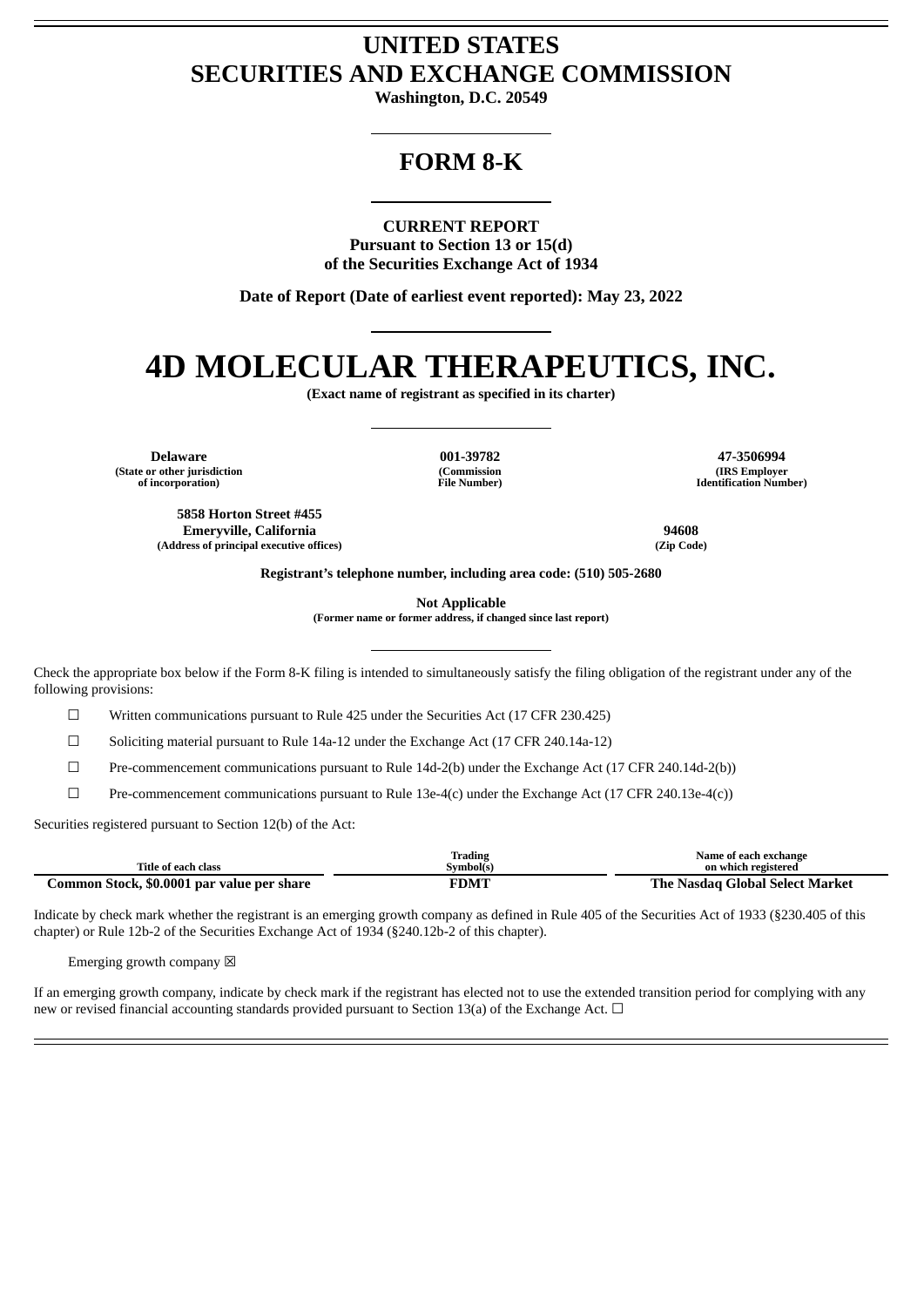## **UNITED STATES SECURITIES AND EXCHANGE COMMISSION**

**Washington, D.C. 20549**

## **FORM 8-K**

**CURRENT REPORT**

**Pursuant to Section 13 or 15(d) of the Securities Exchange Act of 1934**

**Date of Report (Date of earliest event reported): May 23, 2022**

# **4D MOLECULAR THERAPEUTICS, INC.**

**(Exact name of registrant as specified in its charter)**

**(State or other jurisdiction of incorporation)**

> **5858 Horton Street #455 Emeryville, California 94608 (Address of principal executive offices) (Zip Code)**

**(Commission File Number)**

**Delaware 001-39782 47-3506994 (IRS Employer Identification Number)**

**Registrant's telephone number, including area code: (510) 505-2680**

**Not Applicable**

**(Former name or former address, if changed since last report)**

Check the appropriate box below if the Form 8-K filing is intended to simultaneously satisfy the filing obligation of the registrant under any of the following provisions:

☐ Written communications pursuant to Rule 425 under the Securities Act (17 CFR 230.425)

 $\Box$  Soliciting material pursuant to Rule 14a-12 under the Exchange Act (17 CFR 240.14a-12)

☐ Pre-commencement communications pursuant to Rule 14d-2(b) under the Exchange Act (17 CFR 240.14d-2(b))

☐ Pre-commencement communications pursuant to Rule 13e-4(c) under the Exchange Act (17 CFR 240.13e-4(c))

Securities registered pursuant to Section 12(b) of the Act:

|                                            | Trading     | Name of each exchange           |
|--------------------------------------------|-------------|---------------------------------|
| Title of each class                        | Symbol(s)   | on which registered             |
| Common Stock, \$0.0001 par value per share | <b>FDMT</b> | The Nasdag Global Select Market |

Indicate by check mark whether the registrant is an emerging growth company as defined in Rule 405 of the Securities Act of 1933 (§230.405 of this chapter) or Rule 12b-2 of the Securities Exchange Act of 1934 (§240.12b-2 of this chapter).

Emerging growth company  $\boxtimes$ 

If an emerging growth company, indicate by check mark if the registrant has elected not to use the extended transition period for complying with any new or revised financial accounting standards provided pursuant to Section 13(a) of the Exchange Act. □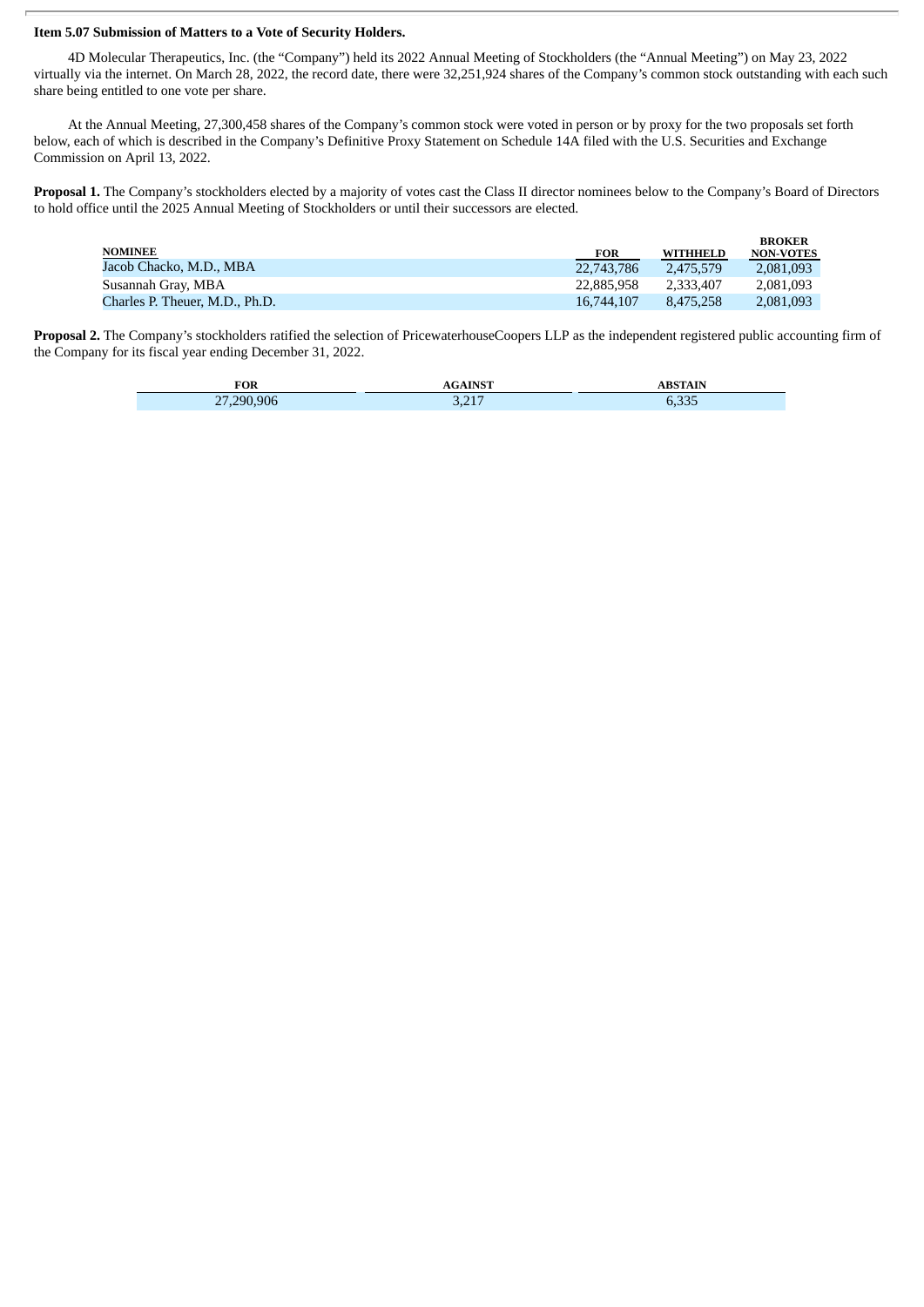#### **Item 5.07 Submission of Matters to a Vote of Security Holders.**

4D Molecular Therapeutics, Inc. (the "Company") held its 2022 Annual Meeting of Stockholders (the "Annual Meeting") on May 23, 2022 virtually via the internet. On March 28, 2022, the record date, there were 32,251,924 shares of the Company's common stock outstanding with each such share being entitled to one vote per share.

At the Annual Meeting, 27,300,458 shares of the Company's common stock were voted in person or by proxy for the two proposals set forth below, each of which is described in the Company's Definitive Proxy Statement on Schedule 14A filed with the U.S. Securities and Exchange Commission on April 13, 2022.

**Proposal 1.** The Company's stockholders elected by a majority of votes cast the Class II director nominees below to the Company's Board of Directors to hold office until the 2025 Annual Meeting of Stockholders or until their successors are elected.

|                                |            |           | <b>BROKER</b>    |
|--------------------------------|------------|-----------|------------------|
| <b>NOMINEE</b>                 | <b>FOR</b> | WITHHELD  | <b>NON-VOTES</b> |
| Jacob Chacko, M.D., MBA        | 22,743,786 | 2.475.579 | 2.081.093        |
| Susannah Gray, MBA             | 22,885,958 | 2.333.407 | 2.081.093        |
| Charles P. Theuer, M.D., Ph.D. | 16,744,107 | 8.475.258 | 2,081,093        |

**Proposal 2.** The Company's stockholders ratified the selection of PricewaterhouseCoopers LLP as the independent registered public accounting firm of the Company for its fiscal year ending December 31, 2022.

| <b>DOD</b><br>ЧUК                  | <b>A TNICT</b>     |                    |
|------------------------------------|--------------------|--------------------|
| .290.906<br>$\mathbf{a}$<br>$\sim$ | D. D. 1. D<br>いんエノ | $C = C$<br>ے بی بی |